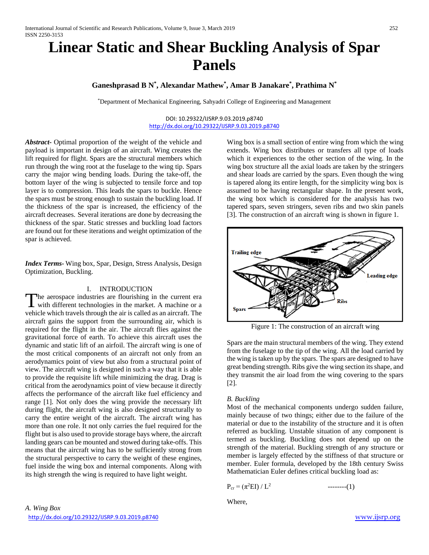# **Linear Static and Shear Buckling Analysis of Spar Panels**

# **Ganeshprasad B N\* , Alexandar Mathew\* , Amar B Janakare\* , Prathima N\***

\*Department of Mechanical Engineering, Sahyadri College of Engineering and Management

## DOI: 10.29322/IJSRP.9.03.2019.p8740 <http://dx.doi.org/10.29322/IJSRP.9.03.2019.p8740>

*Abstract-* Optimal proportion of the weight of the vehicle and payload is important in design of an aircraft. Wing creates the lift required for flight. Spars are the structural members which run through the wing root at the fuselage to the wing tip. Spars carry the major wing bending loads. During the take-off, the bottom layer of the wing is subjected to tensile force and top layer is to compression. This leads the spars to buckle. Hence the spars must be strong enough to sustain the buckling load. If the thickness of the spar is increased, the efficiency of the aircraft decreases. Several iterations are done by decreasing the thickness of the spar. Static stresses and buckling load factors are found out for these iterations and weight optimization of the spar is achieved.

*Index Terms-* Wing box, Spar, Design, Stress Analysis, Design Optimization, Buckling.

# I. INTRODUCTION

he aerospace industries are flourishing in the current era The aerospace industries are flourishing in the current era<br>with different technologies in the market. A machine or a<br> $\frac{1}{2}$ vehicle which travels through the air is called as an aircraft. The aircraft gains the support from the surrounding air, which is required for the flight in the air. The aircraft flies against the gravitational force of earth. To achieve this aircraft uses the dynamic and static lift of an airfoil. The aircraft wing is one of the most critical components of an aircraft not only from an aerodynamics point of view but also from a structural point of view. The aircraft wing is designed in such a way that it is able to provide the requisite lift while minimizing the drag. Drag is critical from the aerodynamics point of view because it directly affects the performance of the aircraft like fuel efficiency and range [1]. Not only does the wing provide the necessary lift during flight, the aircraft wing is also designed structurally to carry the entire weight of the aircraft. The aircraft wing has more than one role. It not only carries the fuel required for the flight but is also used to provide storage bays where, the aircraft landing gears can be mounted and stowed during take-offs. This means that the aircraft wing has to be sufficiently strong from the structural perspective to carry the weight of these engines, fuel inside the wing box and internal components. Along with its high strength the wing is required to have light weight.

Wing box is a small section of entire wing from which the wing extends. Wing box distributes or transfers all type of loads which it experiences to the other section of the wing. In the wing box structure all the axial loads are taken by the stringers and shear loads are carried by the spars. Even though the wing is tapered along its entire length, for the simplicity wing box is assumed to be having rectangular shape. In the present work, the wing box which is considered for the analysis has two tapered spars, seven stringers, seven ribs and two skin panels [3]. The construction of an aircraft wing is shown in figure 1.



Figure 1: The construction of an aircraft wing

Spars are the main structural members of the wing. They extend from the fuselage to the tip of the wing. All the load carried by the wing is taken up by the spars. The spars are designed to have great bending strength. Ribs give the wing section its shape, and they transmit the air load from the wing covering to the spars [2].

# *B. Buckling*

Most of the mechanical components undergo sudden failure, mainly because of two things; either due to the failure of the material or due to the instability of the structure and it is often referred as buckling. Unstable situation of any component is termed as buckling. Buckling does not depend up on the strength of the material. Buckling strength of any structure or member is largely effected by the stiffness of that structure or member. Euler formula, developed by the 18th century Swiss Mathematician Euler defines critical buckling load as:

Pcr = (π<sup>2</sup> EI) / L2 --------(1)

Where,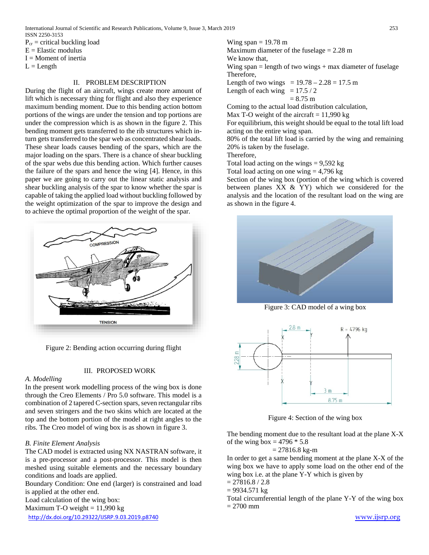$P_{cr}$  = critical buckling load

 $E =$ Elastic modulus

 $I =$ Moment of inertia

 $L = Length$ 

# II. PROBLEM DESCRIPTION

During the flight of an aircraft, wings create more amount of lift which is necessary thing for flight and also they experience maximum bending moment. Due to this bending action bottom portions of the wings are under the tension and top portions are under the compression which is as shown in the figure 2. This bending moment gets transferred to the rib structures which inturn gets transferred to the spar web as concentrated shear loads. These shear loads causes bending of the spars, which are the major loading on the spars. There is a chance of shear buckling of the spar webs due this bending action. Which further causes the failure of the spars and hence the wing [4]. Hence, in this paper we are going to carry out the linear static analysis and shear buckling analysis of the spar to know whether the spar is capable of taking the applied load without buckling followed by the weight optimization of the spar to improve the design and to achieve the optimal proportion of the weight of the spar.



Figure 2: Bending action occurring during flight

# III. PROPOSED WORK

# *A. Modelling*

In the present work modelling process of the wing box is done through the Creo Elements / Pro 5.0 software. This model is a combination of 2 tapered C-section spars, seven rectangular ribs and seven stringers and the two skins which are located at the top and the bottom portion of the model at right angles to the ribs. The Creo model of wing box is as shown in figure 3.

# *B. Finite Element Analysis*

The CAD model is extracted using NX NASTRAN software, it is a pre-processor and a post-processor. This model is then meshed using suitable elements and the necessary boundary conditions and loads are applied.

Boundary Condition: One end (larger) is constrained and load is applied at the other end.

Load calculation of the wing box:

Maximum T-O weight  $= 11,990$  kg

<http://dx.doi.org/10.29322/IJSRP.9.03.2019.p8740> [www.ijsrp.org](http://ijsrp.org/)

Wing span  $= 19.78$  m Maximum diameter of the fuselage = 2.28 m We know that, Wing span  $=$  length of two wings  $+$  max diameter of fuselage Therefore, Length of two wings =  $19.78 - 2.28 = 17.5$  m Length of each wing  $= 17.5 / 2$  $= 8.75$  m

Coming to the actual load distribution calculation,

Max T-O weight of the aircraft  $= 11,990$  kg

For equilibrium, this weight should be equal to the total lift load acting on the entire wing span.

80% of the total lift load is carried by the wing and remaining 20% is taken by the fuselage.

Therefore,

Total load acting on the wings  $= 9,592$  kg

Total load acting on one wing  $= 4,796$  kg

Section of the wing box (portion of the wing which is covered between planes XX & YY) which we considered for the analysis and the location of the resultant load on the wing are as shown in the figure 4.



Figure 3: CAD model of a wing box



Figure 4: Section of the wing box

The bending moment due to the resultant load at the plane X-X of the wing box =  $4796 * 5.8$ 

$$
= 27816.8
$$
 kg-m

In order to get a same bending moment at the plane X-X of the wing box we have to apply some load on the other end of the wing box i.e. at the plane Y-Y which is given by

$$
= 27816.8 / 2.8
$$

$$
= 9934.571
$$
 kg

Total circumferential length of the plane Y-Y of the wing box  $= 2700$  mm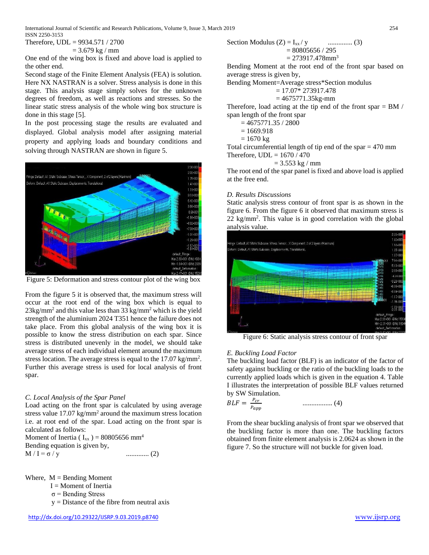International Journal of Scientific and Research Publications, Volume 9, Issue 3, March 2019 254 ISSN 2250-3153

Therefore, UDL = 9934.571 / 2700  $= 3.679$  kg / mm

One end of the wing box is fixed and above load is applied to the other end.

Second stage of the Finite Element Analysis (FEA) is solution. Here NX NASTRAN is a solver. Stress analysis is done in this stage. This analysis stage simply solves for the unknown degrees of freedom, as well as reactions and stresses. So the linear static stress analysis of the whole wing box structure is done in this stage [5].

In the post processing stage the results are evaluated and displayed. Global analysis model after assigning material property and applying loads and boundary conditions and solving through NASTRAN are shown in figure 5.



Figure 5: Deformation and stress contour plot of the wing box

From the figure 5 it is observed that, the maximum stress will occur at the root end of the wing box which is equal to  $23\text{kg/mm}^2$  and this value less than 33 kg/mm<sup>2</sup> which is the yield strength of the aluminium 2024 T351 hence the failure does not take place. From this global analysis of the wing box it is possible to know the stress distribution on each spar. Since stress is distributed unevenly in the model, we should take average stress of each individual element around the maximum stress location. The average stress is equal to the  $17.07 \text{ kg/mm}^2$ . Further this average stress is used for local analysis of front spar.

# *C. Local Analysis of the Spar Panel*

Load acting on the front spar is calculated by using average stress value 17.07 kg/mm2 around the maximum stress location i.e. at root end of the spar. Load acting on the front spar is calculated as follows:

Moment of Inertia ( $I_{xx}$ ) = 80805656 mm<sup>4</sup> Bending equation is given by, M / I = σ / y ............. (2)

Where,  $M =$  Bending Moment

I = Moment of Inertia

 $\sigma$  = Bending Stress

y = Distance of the fibre from neutral axis

Section Modulus (Z) = 
$$
I_{xx}/y
$$
 \n  
\n= 80805656 / 295  
\n= 273917.478mm<sup>3</sup>

Bending Moment at the root end of the front spar based on average stress is given by,

Bending Moment=Average stress\*Section modulus

$$
= 17.07^* 273917.478
$$

 $= 4675771.35kg-mm$ 

Therefore, load acting at the tip end of the front spar  $=$  BM  $/$ span length of the front spar

 $= 4675771.35 / 2800$ 

 $= 1669.918$ 

 $= 1670 \text{ kg}$ 

Total circumferential length of tip end of the spar = 470 mm Therefore,  $UDL = 1670 / 470$ 

$$
= 3.553 \text{ kg} / \text{mm}
$$

The root end of the spar panel is fixed and above load is applied at the free end.

# *D. Results Discussions*

Static analysis stress contour of front spar is as shown in the figure 6. From the figure 6 it observed that maximum stress is 22 kg/mm2 . This value is in good correlation with the global analysis value.



Figure 6: Static analysis stress contour of front spar

# *E. Buckling Load Factor*

The buckling load factor (BLF) is an indicator of the factor of safety against buckling or the ratio of the buckling loads to the currently applied loads which is given in the equation 4. Table I illustrates the interpretation of possible BLF values returned by SW Simulation.

$$
BLF = \frac{P_{cr}}{P_{app}} \qquad \qquad \dots \dots \dots \dots \dots \dots \tag{4}
$$

From the shear buckling analysis of front spar we observed that the buckling factor is more than one. The buckling factors obtained from finite element analysis is 2.0624 as shown in the figure 7. So the structure will not buckle for given load.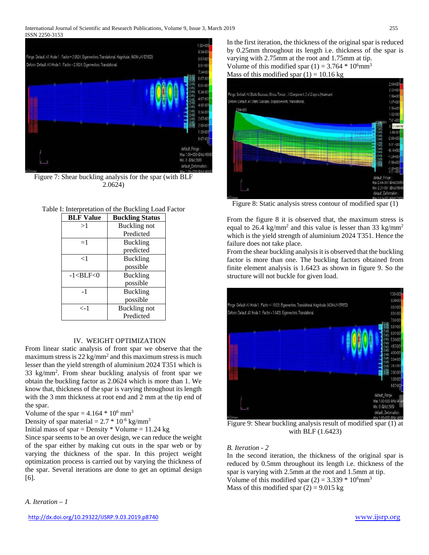#### International Journal of Scientific and Research Publications, Volume 9, Issue 3, March 2019 255 ISSN 2250-3153



Figure 7: Shear buckling analysis for the spar (with BLF 2.0624)

## Table I: Interpretation of the Buckling Load Factor

| <b>BLF Value</b> | <b>Buckling Status</b> |  |
|------------------|------------------------|--|
| >1               | <b>Buckling</b> not    |  |
|                  | Predicted              |  |
| $=1$             | <b>Buckling</b>        |  |
|                  | predicted              |  |
| $<$ 1            | <b>Buckling</b>        |  |
|                  | possible               |  |
| $-1 < BLF < 0$   | <b>Buckling</b>        |  |
|                  | possible               |  |
| $-1$             | <b>Buckling</b>        |  |
|                  | possible               |  |
| $\lt$ -1         | Buckling not           |  |
|                  | Predicted              |  |

## IV. WEIGHT OPTIMIZATION

From linear static analysis of front spar we observe that the maximum stress is  $22 \text{ kg/mm}^2$  and this maximum stress is much lesser than the yield strength of aluminium 2024 T351 which is 33 kg/mm2 . From shear buckling analysis of front spar we obtain the buckling factor as 2.0624 which is more than 1. We know that, thickness of the spar is varying throughout its length with the 3 mm thickness at root end and 2 mm at the tip end of the spar.

Volume of the spar  $= 4.164 * 10^6$  mm<sup>3</sup>

Density of spar material =  $2.7 * 10^{-6}$  kg/mm<sup>3</sup>

Initial mass of spar = Density  $*$  Volume = 11.24 kg

Since spar seems to be an over design, we can reduce the weight of the spar either by making cut outs in the spar web or by varying the thickness of the spar. In this project weight optimization process is carried out by varying the thickness of the spar. Several iterations are done to get an optimal design [6].

In the first iteration, the thickness of the original spar is reduced by 0.25mm throughout its length i.e. thickness of the spar is varying with 2.75mm at the root and 1.75mm at tip. Volume of this modified spar  $(1) = 3.764 * 10^6$ mm<sup>3</sup> Mass of this modified spar  $(1) = 10.16$  kg



Figure 8: Static analysis stress contour of modified spar (1)

From the figure 8 it is observed that, the maximum stress is equal to 26.4 kg/mm<sup>2</sup> and this value is lesser than 33 kg/mm<sup>2</sup> which is the yield strength of aluminium 2024 T351. Hence the failure does not take place.

From the shear buckling analysis it is observed that the buckling factor is more than one. The buckling factors obtained from finite element analysis is 1.6423 as shown in figure 9. So the structure will not buckle for given load.



Figure 9: Shear buckling analysis result of modified spar (1) at with BLF (1.6423)

## *B. Iteration - 2*

In the second iteration, the thickness of the original spar is reduced by 0.5mm throughout its length i.e. thickness of the spar is varying with 2.5mm at the root and 1.5mm at tip. Volume of this modified spar  $(2) = 3.339 * 10^6$ mm<sup>3</sup> Mass of this modified spar  $(2) = 9.015$  kg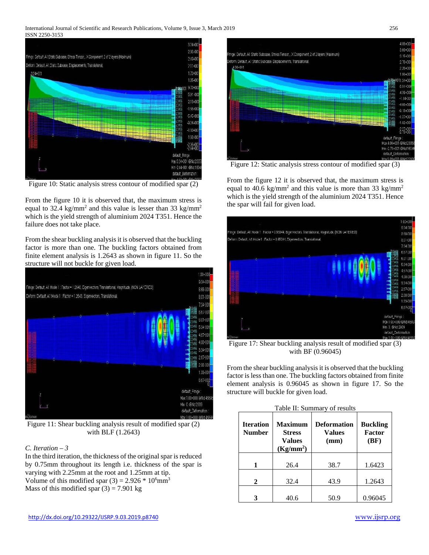## International Journal of Scientific and Research Publications, Volume 9, Issue 3, March 2019 256 ISSN 2250-3153



Figure 10: Static analysis stress contour of modified spar (2)

From the figure 10 it is observed that, the maximum stress is equal to 32.4 kg/mm<sup>2</sup> and this value is lesser than 33 kg/mm<sup>2</sup> which is the yield strength of aluminium 2024 T351. Hence the failure does not take place.

From the shear buckling analysis it is observed that the buckling factor is more than one. The buckling factors obtained from finite element analysis is 1.2643 as shown in figure 11. So the structure will not buckle for given load.



Figure 11: Shear buckling analysis result of modified spar (2) with BLF (1.2643)

# *C. Iteration – 3*

In the third iteration, the thickness of the original spar is reduced by 0.75mm throughout its length i.e. thickness of the spar is varying with 2.25mm at the root and 1.25mm at tip. Volume of this modified spar  $(3) = 2.926 * 10^6$ mm<sup>3</sup> Mass of this modified spar  $(3) = 7.901$  kg



Figure 12: Static analysis stress contour of modified spar (3)

From the figure 12 it is observed that, the maximum stress is equal to 40.6 kg/mm<sup>2</sup> and this value is more than 33 kg/mm<sup>2</sup> which is the yield strength of the aluminium 2024 T351. Hence the spar will fail for given load.



Figure 17: Shear buckling analysis result of modified spar (3) with BF (0.96045)

From the shear buckling analysis it is observed that the buckling factor is less than one. The buckling factors obtained from finite element analysis is 0.96045 as shown in figure 17. So the structure will buckle for given load.

| <b>Iteration</b><br><b>Number</b> | <b>Maximum</b><br><b>Stress</b><br><b>Values</b><br>(Kg/mm <sup>2</sup> ) | Deformation<br><b>Values</b><br>(mm) | <b>Buckling</b><br><b>Factor</b><br>(BF) |
|-----------------------------------|---------------------------------------------------------------------------|--------------------------------------|------------------------------------------|
| 1                                 | 26.4                                                                      | 38.7                                 | 1.6423                                   |
| 2                                 | 32.4                                                                      | 43.9                                 | 1.2643                                   |
|                                   | 40.6                                                                      | 50.9                                 | 0.96045                                  |